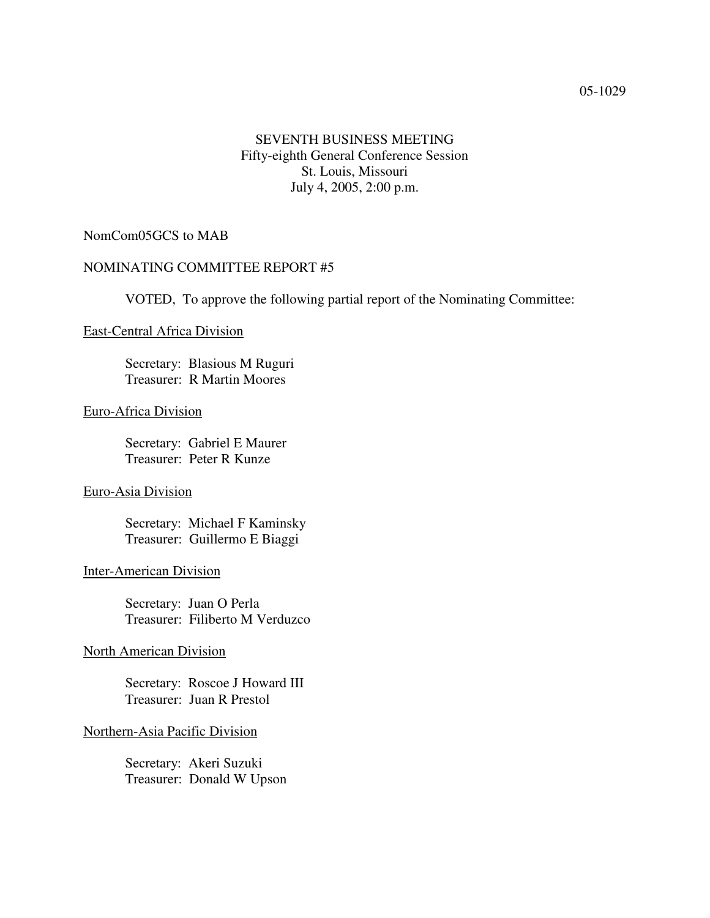# SEVENTH BUSINESS MEETING Fifty-eighth General Conference Session St. Louis, Missouri July 4, 2005, 2:00 p.m.

## NomCom05GCS to MAB

## NOMINATING COMMITTEE REPORT #5

VOTED, To approve the following partial report of the Nominating Committee:

#### East-Central Africa Division

Secretary: Blasious M Ruguri Treasurer: R Martin Moores

#### Euro-Africa Division

Secretary: Gabriel E Maurer Treasurer: Peter R Kunze

## Euro-Asia Division

Secretary: Michael F Kaminsky Treasurer: Guillermo E Biaggi

#### Inter-American Division

Secretary: Juan O Perla Treasurer: Filiberto M Verduzco

#### North American Division

Secretary: Roscoe J Howard III Treasurer: Juan R Prestol

#### Northern-Asia Pacific Division

Secretary: Akeri Suzuki Treasurer: Donald W Upson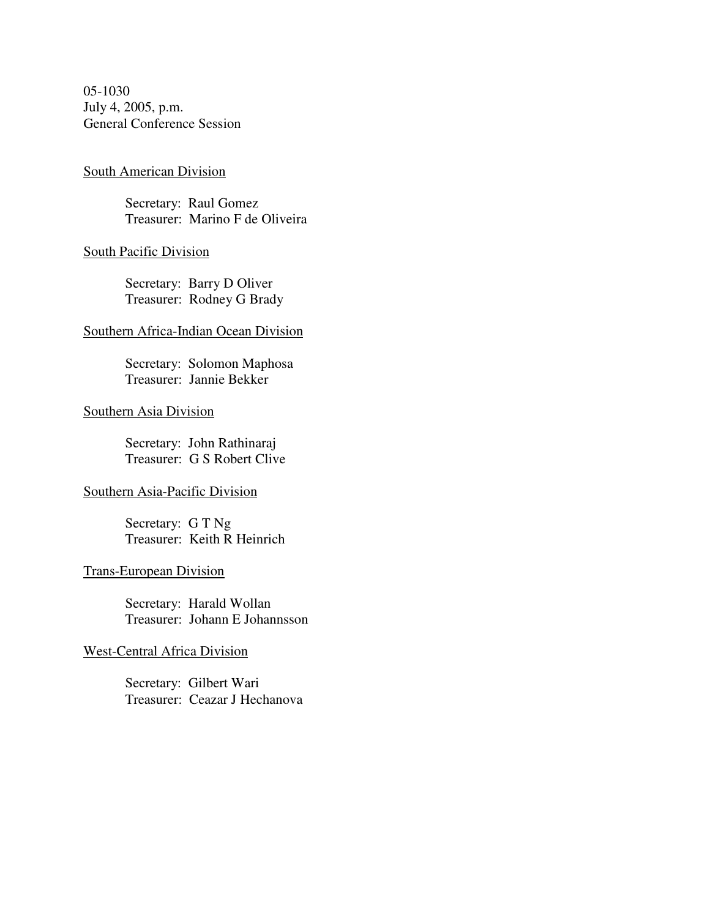05-1030 July 4, 2005, p.m. General Conference Session

#### South American Division

Secretary: Raul Gomez Treasurer: Marino F de Oliveira

#### South Pacific Division

Secretary: Barry D Oliver Treasurer: Rodney G Brady

#### Southern Africa-Indian Ocean Division

Secretary: Solomon Maphosa Treasurer: Jannie Bekker

### Southern Asia Division

Secretary: John Rathinaraj Treasurer: G S Robert Clive

## Southern Asia-Pacific Division

Secretary: G T Ng Treasurer: Keith R Heinrich

# Trans-European Division

Secretary: Harald Wollan Treasurer: Johann E Johannsson

# West-Central Africa Division

Secretary: Gilbert Wari Treasurer: Ceazar J Hechanova